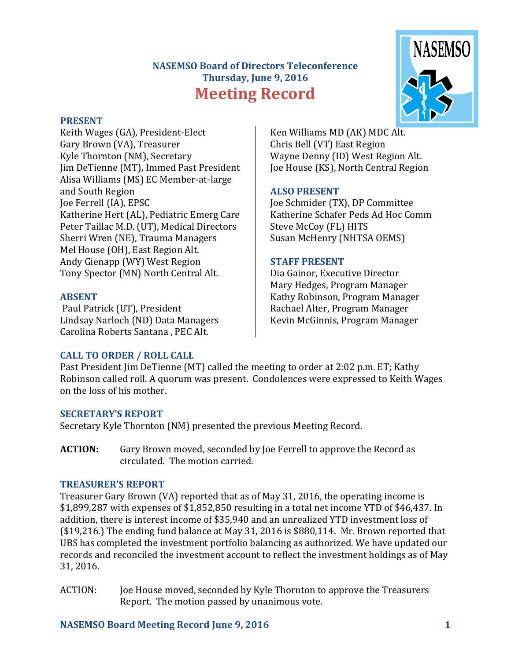# **NASEMSO Board of Directors Teleconference Thursday, June 9, 2016 Meeting Record**



#### **PRESENT**

Keith Wages (GA), President-Elect Gary Brown (VA), Treasurer Kyle Thornton (NM), Secretary Jim DeTienne (MT), Immed Past President Alisa Williams (MS) EC Member-at-large and South Region Joe Ferrell (IA), EPSC Katherine Hert (AL), Pediatric Emerg Care Peter Taillac M.D. (UT), Medical Directors Sherri Wren (NE), Trauma Managers Mel House (OH), East Region Alt. Andy Gienapp (WY) West Region Tony Spector (MN) North Central Alt.

#### **ABSENT**

Paul Patrick (UT), President Lindsay Narloch (ND) Data Managers Carolina Roberts Santana , PEC Alt.

Ken Williams MD (AK) MDC Alt. Chris Bell (VT) East Region Wayne Denny (ID) West Region Alt. Joe House (KS), North Central Region

# **ALSO PRESENT**

Joe Schmider (TX), DP Committee Katherine Schafer Peds Ad Hoc Comm Steve McCoy (FL) HITS Susan McHenry (NHTSA OEMS)

# **STAFF PRESENT**

Dia Gainor, Executive Director Mary Hedges, Program Manager Kathy Robinson, Program Manager Rachael Alter, Program Manager Kevin McGinnis, Program Manager

# **CALL TO ORDER / ROLL CALL**

Past President Jim DeTienne (MT) called the meeting to order at 2:02 p.m. ET; Kathy Robinson called roll. A quorum was present. Condolences were expressed to Keith Wages on the loss of his mother.

# **SECRETARY'S REPORT**

Secretary Kyle Thornton (NM) presented the previous Meeting Record.

**ACTION:** Gary Brown moved, seconded by Joe Ferrell to approve the Record as circulated. The motion carried.

# **TREASURER'S REPORT**

Treasurer Gary Brown (VA) reported that as of May 31, 2016, the operating income is \$1,899,287 with expenses of \$1,852,850 resulting in a total net income YTD of \$46,437. In addition, there is interest income of \$35,940 and an unrealized YTD investment loss of (\$19,216.) The ending fund balance at May 31, 2016 is \$880,114. Mr. Brown reported that UBS has completed the investment portfolio balancing as authorized. We have updated our records and reconciled the investment account to reflect the investment holdings as of May 31, 2016.

ACTION: Joe House moved, seconded by Kyle Thornton to approve the Treasurers Report. The motion passed by unanimous vote.

# **NASEMSO Board Meeting Record June 9, 2016 1**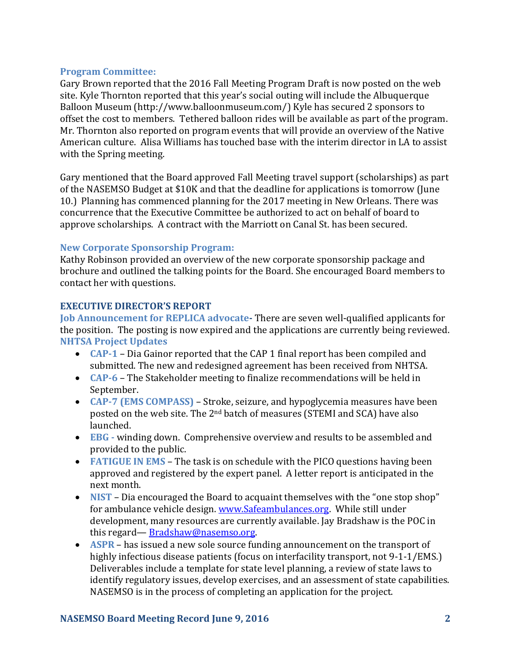## **Program Committee:**

Gary Brown reported that the 2016 Fall Meeting Program Draft is now posted on the web site. Kyle Thornton reported that this year's social outing will include the Albuquerque Balloon Museum (http://www.balloonmuseum.com/) Kyle has secured 2 sponsors to offset the cost to members. Tethered balloon rides will be available as part of the program. Mr. Thornton also reported on program events that will provide an overview of the Native American culture. Alisa Williams has touched base with the interim director in LA to assist with the Spring meeting.

Gary mentioned that the Board approved Fall Meeting travel support (scholarships) as part of the NASEMSO Budget at \$10K and that the deadline for applications is tomorrow (June 10.) Planning has commenced planning for the 2017 meeting in New Orleans. There was concurrence that the Executive Committee be authorized to act on behalf of board to approve scholarships. A contract with the Marriott on Canal St. has been secured.

#### **New Corporate Sponsorship Program:**

Kathy Robinson provided an overview of the new corporate sponsorship package and brochure and outlined the talking points for the Board. She encouraged Board members to contact her with questions.

#### **EXECUTIVE DIRECTOR'S REPORT**

**Job Announcement for REPLICA advocate-** There are seven well-qualified applicants for the position. The posting is now expired and the applications are currently being reviewed. **NHTSA Project Updates**

- **CAP-1** Dia Gainor reported that the CAP 1 final report has been compiled and submitted. The new and redesigned agreement has been received from NHTSA.
- **CAP-6** The Stakeholder meeting to finalize recommendations will be held in September.
- **CAP-7 (EMS COMPASS)**  Stroke, seizure, and hypoglycemia measures have been posted on the web site. The 2nd batch of measures (STEMI and SCA) have also launched.
- **EBG -** winding down. Comprehensive overview and results to be assembled and provided to the public.
- **FATIGUE IN EMS** The task is on schedule with the PICO questions having been approved and registered by the expert panel. A letter report is anticipated in the next month.
- NIST Dia encouraged the Board to acquaint themselves with the "one stop shop" for ambulance vehicle design. [www.Safeambulances.org.](http://www.safeambulances.org/) While still under development, many resources are currently available. Jay Bradshaw is the POC in this regard— [Bradshaw@nasemso.org.](mailto:Bradshaw@nasemso.org)
- **ASPR**  has issued a new sole source funding announcement on the transport of highly infectious disease patients (focus on interfacility transport, not 9-1-1/EMS.) Deliverables include a template for state level planning, a review of state laws to identify regulatory issues, develop exercises, and an assessment of state capabilities. NASEMSO is in the process of completing an application for the project.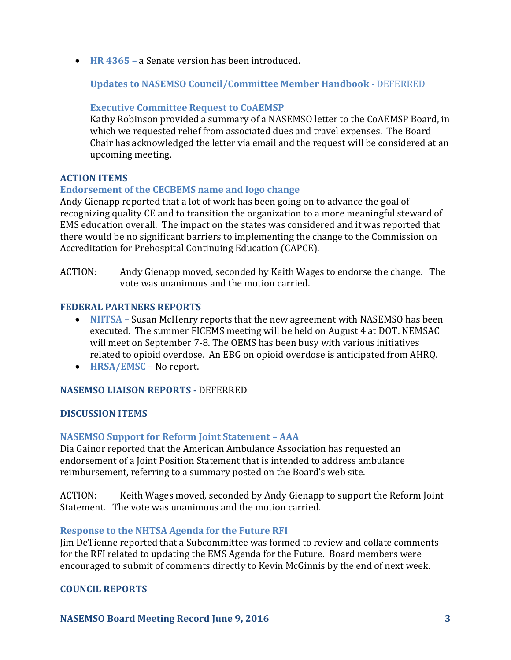**HR 4365 –** a Senate version has been introduced.

**Updates to NASEMSO Council/Committee Member Handbook** - DEFERRED

## **Executive Committee Request to CoAEMSP**

Kathy Robinson provided a summary of a NASEMSO letter to the CoAEMSP Board, in which we requested relief from associated dues and travel expenses. The Board Chair has acknowledged the letter via email and the request will be considered at an upcoming meeting.

#### **ACTION ITEMS**

# **Endorsement of the CECBEMS name and logo change**

Andy Gienapp reported that a lot of work has been going on to advance the goal of recognizing quality CE and to transition the organization to a more meaningful steward of EMS education overall. The impact on the states was considered and it was reported that there would be no significant barriers to implementing the change to the Commission on Accreditation for Prehospital Continuing Education (CAPCE).

ACTION: Andy Gienapp moved, seconded by Keith Wages to endorse the change. The vote was unanimous and the motion carried.

#### **FEDERAL PARTNERS REPORTS**

- **NHTSA** Susan McHenry reports that the new agreement with NASEMSO has been executed. The summer FICEMS meeting will be held on August 4 at DOT. NEMSAC will meet on September 7-8. The OEMS has been busy with various initiatives related to opioid overdose. An EBG on opioid overdose is anticipated from AHRQ.
- **HRSA/EMSC –** No report.

#### **NASEMSO LIAISON REPORTS -** DEFERRED

#### **DISCUSSION ITEMS**

#### **NASEMSO Support for Reform Joint Statement – AAA**

Dia Gainor reported that the American Ambulance Association has requested an endorsement of a Joint Position Statement that is intended to address ambulance reimbursement, referring to a summary posted on the Board's web site.

ACTION: Keith Wages moved, seconded by Andy Gienapp to support the Reform Joint Statement. The vote was unanimous and the motion carried.

#### **Response to the NHTSA Agenda for the Future RFI**

Jim DeTienne reported that a Subcommittee was formed to review and collate comments for the RFI related to updating the EMS Agenda for the Future. Board members were encouraged to submit of comments directly to Kevin McGinnis by the end of next week.

#### **COUNCIL REPORTS**

**NASEMSO Board Meeting Record June 9, 2016 3**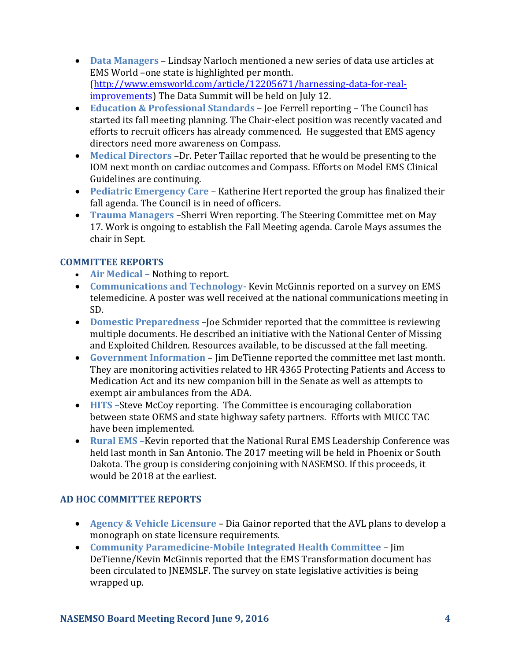- **Data Managers** Lindsay Narloch mentioned a new series of data use articles at EMS World –one state is highlighted per month. [\(http://www.emsworld.com/article/12205671/harnessing-data-for-real](http://www.emsworld.com/article/12205671/harnessing-data-for-real-improvements)[improvements\)](http://www.emsworld.com/article/12205671/harnessing-data-for-real-improvements) The Data Summit will be held on July 12.
- **Education & Professional Standards** Joe Ferrell reporting The Council has started its fall meeting planning. The Chair-elect position was recently vacated and efforts to recruit officers has already commenced. He suggested that EMS agency directors need more awareness on Compass.
- **Medical Directors** –Dr. Peter Taillac reported that he would be presenting to the IOM next month on cardiac outcomes and Compass. Efforts on Model EMS Clinical Guidelines are continuing.
- **Pediatric Emergency Care** Katherine Hert reported the group has finalized their fall agenda. The Council is in need of officers.
- **Trauma Managers** –Sherri Wren reporting. The Steering Committee met on May 17. Work is ongoing to establish the Fall Meeting agenda. Carole Mays assumes the chair in Sept.

# **COMMITTEE REPORTS**

- **Air Medical –** Nothing to report.
- **Communications and Technology-** Kevin McGinnis reported on a survey on EMS telemedicine. A poster was well received at the national communications meeting in SD.
- **Domestic Preparedness** –Joe Schmider reported that the committee is reviewing multiple documents. He described an initiative with the National Center of Missing and Exploited Children. Resources available, to be discussed at the fall meeting.
- **Government Information** Jim DeTienne reported the committee met last month. They are monitoring activities related to HR 4365 Protecting Patients and Access to Medication Act and its new companion bill in the Senate as well as attempts to exempt air ambulances from the ADA.
- **HITS** -Steve McCoy reporting. The Committee is encouraging collaboration between state OEMS and state highway safety partners. Efforts with MUCC TAC have been implemented.
- **Rural EMS** Kevin reported that the National Rural EMS Leadership Conference was held last month in San Antonio. The 2017 meeting will be held in Phoenix or South Dakota. The group is considering conjoining with NASEMSO. If this proceeds, it would be 2018 at the earliest.

# **AD HOC COMMITTEE REPORTS**

- **Agency & Vehicle Licensure** Dia Gainor reported that the AVL plans to develop a monograph on state licensure requirements.
- **Community Paramedicine-Mobile Integrated Health Committee** Jim DeTienne/Kevin McGinnis reported that the EMS Transformation document has been circulated to JNEMSLF. The survey on state legislative activities is being wrapped up.